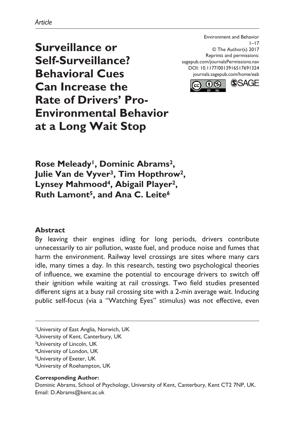**Surveillance or Self-Surveillance? Behavioral Cues Can Increase the Rate of Drivers' Pro-Environmental Behavior at a Long Wait Stop**

DOI: 10.1177/0013916517691324 Environment and Behavior  $1 - 17$ © The Author(s) 2017 Reprints and permissions: [sagepub.com/journalsPermissions.nav](https://us.sagepub.com/en-us/journals-permissions) [journals.sagepub.com/home/eab](https://journals.sagepub.com/home/eab)



**Rose Meleady1, Dominic Abrams2, Julie Van de Vyver3, Tim Hopthrow2, Lynsey Mahmood4, Abigail Player2, Ruth Lamont5, and Ana C. Leite6**

### **Abstract**

By leaving their engines idling for long periods, drivers contribute unnecessarily to air pollution, waste fuel, and produce noise and fumes that harm the environment. Railway level crossings are sites where many cars idle, many times a day. In this research, testing two psychological theories of influence, we examine the potential to encourage drivers to switch off their ignition while waiting at rail crossings. Two field studies presented different signs at a busy rail crossing site with a 2-min average wait. Inducing public self-focus (via a "Watching Eyes" stimulus) was not effective, even

2University of Kent, Canterbury, UK

3University of Lincoln, UK

5University of Exeter, UK

6University of Roehampton, UK

#### **Corresponding Author:**

Dominic Abrams, School of Psychology, University of Kent, Canterbury, Kent CT2 7NP, UK. Email: [D.Abrams@kent.ac.uk](mailto:D.Abrams@kent.ac.uk)

<sup>1</sup>University of East Anglia, Norwich, UK

<sup>4</sup>University of London, UK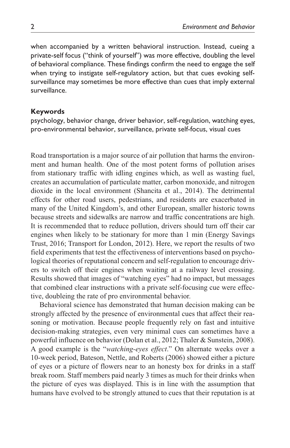when accompanied by a written behavioral instruction. Instead, cueing a private-self focus ("think of yourself") was more effective, doubling the level of behavioral compliance. These findings confirm the need to engage the self when trying to instigate self-regulatory action, but that cues evoking selfsurveillance may sometimes be more effective than cues that imply external surveillance.

#### **Keywords**

psychology, behavior change, driver behavior, self-regulation, watching eyes, pro-environmental behavior, surveillance, private self-focus, visual cues

Road transportation is a major source of air pollution that harms the environment and human health. One of the most potent forms of pollution arises from stationary traffic with idling engines which, as well as wasting fuel, creates an accumulation of particulate matter, carbon monoxide, and nitrogen dioxide in the local environment (Shancita et al., 2014). The detrimental effects for other road users, pedestrians, and residents are exacerbated in many of the United Kingdom's, and other European, smaller historic towns because streets and sidewalks are narrow and traffic concentrations are high. It is recommended that to reduce pollution, drivers should turn off their car engines when likely to be stationary for more than 1 min (Energy Savings Trust, 2016; Transport for London, 2012). Here, we report the results of two field experiments that test the effectiveness of interventions based on psychological theories of reputational concern and self-regulation to encourage drivers to switch off their engines when waiting at a railway level crossing. Results showed that images of "watching eyes" had no impact, but messages that combined clear instructions with a private self-focusing cue were effective, doubleing the rate of pro environmental behavior.

Behavioral science has demonstrated that human decision making can be strongly affected by the presence of environmental cues that affect their reasoning or motivation. Because people frequently rely on fast and intuitive decision-making strategies, even very minimal cues can sometimes have a powerful influence on behavior (Dolan et al., 2012; Thaler & Sunstein, 2008). A good example is the "*watching-eyes effect*." On alternate weeks over a 10-week period, Bateson, Nettle, and Roberts (2006) showed either a picture of eyes or a picture of flowers near to an honesty box for drinks in a staff break room. Staff members paid nearly 3 times as much for their drinks when the picture of eyes was displayed. This is in line with the assumption that humans have evolved to be strongly attuned to cues that their reputation is at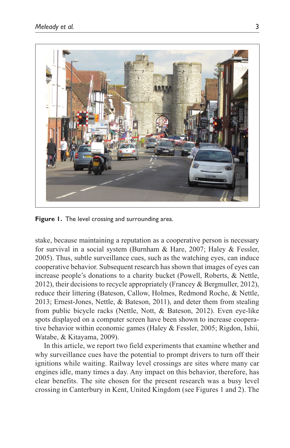

**Figure 1.** The level crossing and surrounding area.

stake, because maintaining a reputation as a cooperative person is necessary for survival in a social system (Burnham & Hare, 2007; Haley & Fessler, 2005). Thus, subtle surveillance cues, such as the watching eyes, can induce cooperative behavior. Subsequent research has shown that images of eyes can increase people's donations to a charity bucket (Powell, Roberts, & Nettle, 2012), their decisions to recycle appropriately (Francey & Bergmuller, 2012), reduce their littering (Bateson, Callow, Holmes, Redmond Roche, & Nettle, 2013; Ernest-Jones, Nettle, & Bateson, 2011), and deter them from stealing from public bicycle racks (Nettle, Nott, & Bateson, 2012). Even eye-like spots displayed on a computer screen have been shown to increase cooperative behavior within economic games (Haley & Fessler, 2005; Rigdon, Ishii, Watabe, & Kitayama, 2009).

In this article, we report two field experiments that examine whether and why surveillance cues have the potential to prompt drivers to turn off their ignitions while waiting. Railway level crossings are sites where many car engines idle, many times a day. Any impact on this behavior, therefore, has clear benefits. The site chosen for the present research was a busy level crossing in Canterbury in Kent, United Kingdom (see Figures 1 and 2). The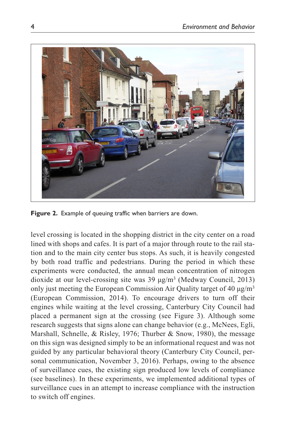

**Figure 2.** Example of queuing traffic when barriers are down.

level crossing is located in the shopping district in the city center on a road lined with shops and cafes. It is part of a major through route to the rail station and to the main city center bus stops. As such, it is heavily congested by both road traffic and pedestrians. During the period in which these experiments were conducted, the annual mean concentration of nitrogen dioxide at our level-crossing site was 39 µg/m3 (Medway Council, 2013) only just meeting the European Commission Air Quality target of 40  $\mu$ g/m<sup>3</sup> (European Commission, 2014). To encourage drivers to turn off their engines while waiting at the level crossing, Canterbury City Council had placed a permanent sign at the crossing (see Figure 3). Although some research suggests that signs alone can change behavior (e.g., McNees, Egli, Marshall, Schnelle, & Risley, 1976; Thurber & Snow, 1980), the message on this sign was designed simply to be an informational request and was not guided by any particular behavioral theory (Canterbury City Council, personal communication, November 3, 2016). Perhaps, owing to the absence of surveillance cues, the existing sign produced low levels of compliance (see baselines). In these experiments, we implemented additional types of surveillance cues in an attempt to increase compliance with the instruction to switch off engines.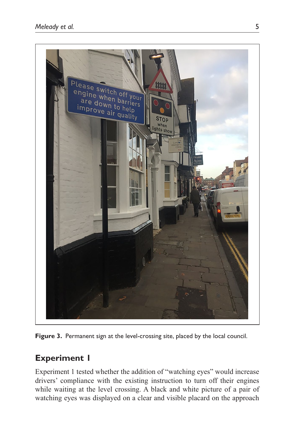

**Figure 3.** Permanent sign at the level-crossing site, placed by the local council.

# **Experiment 1**

Experiment 1 tested whether the addition of "watching eyes" would increase drivers' compliance with the existing instruction to turn off their engines while waiting at the level crossing. A black and white picture of a pair of watching eyes was displayed on a clear and visible placard on the approach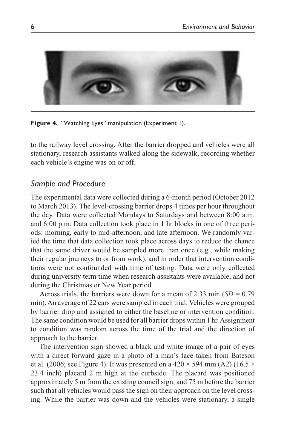

**Figure 4.** "Watching Eyes" manipulation (Experiment 1).

to the railway level crossing. After the barrier dropped and vehicles were all stationary, research assistants walked along the sidewalk, recording whether each vehicle's engine was on or off.

## *Sample and Procedure*

The experimental data were collected during a 6-month period (October 2012 to March 2013). The level-crossing barrier drops 4 times per hour throughout the day. Data were collected Mondays to Saturdays and between 8:00 a.m. and 6:00 p.m. Data collection took place in 1 hr blocks in one of three periods: morning, early to mid-afternoon, and late afternoon. We randomly varied the time that data collection took place across days to reduce the chance that the same driver would be sampled more than once (e.g., while making their regular journeys to or from work), and in order that intervention conditions were not confounded with time of testing. Data were only collected during university term time when research assistants were available, and not during the Christmas or New Year period.

Across trials, the barriers were down for a mean of 2.33 min  $(SD = 0.79)$ min). An average of 22 cars were sampled in each trial. Vehicles were grouped by barrier drop and assigned to either the baseline or intervention condition. The same condition would be used for all barrier drops within 1 hr. Assignment to condition was random across the time of the trial and the direction of approach to the barrier.

The intervention sign showed a black and white image of a pair of eyes with a direct forward gaze in a photo of a man's face taken from Bateson et al. (2006; see Figure 4). It was presented on a  $420 \times 594$  mm (A2) (16.5  $\times$ 23.4 inch) placard 2 m high at the curbside. The placard was positioned approximately 5 m from the existing council sign, and 75 m before the barrier such that all vehicles would pass the sign on their approach on the level crossing. While the barrier was down and the vehicles were stationary, a single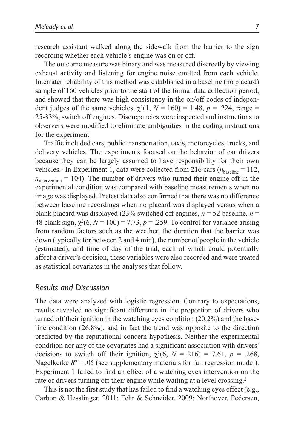research assistant walked along the sidewalk from the barrier to the sign recording whether each vehicle's engine was on or off.

The outcome measure was binary and was measured discreetly by viewing exhaust activity and listening for engine noise emitted from each vehicle. Interrater reliability of this method was established in a baseline (no placard) sample of 160 vehicles prior to the start of the formal data collection period, and showed that there was high consistency in the on/off codes of independent judges of the same vehicles,  $\chi^2(1, N = 160) = 1.48$ ,  $p = .224$ , range = 25-33%, switch off engines. Discrepancies were inspected and instructions to observers were modified to eliminate ambiguities in the coding instructions for the experiment.

Traffic included cars, public transportation, taxis, motorcycles, trucks, and delivery vehicles. The experiments focused on the behavior of car drivers because they can be largely assumed to have responsibility for their own vehicles.<sup>1</sup> In Experiment 1, data were collected from 216 cars ( $n_{\text{baseline}} = 112$ ,  $n_{\text{intervention}} = 104$ ). The number of drivers who turned their engine off in the experimental condition was compared with baseline measurements when no image was displayed. Pretest data also confirmed that there was no difference between baseline recordings when no placard was displayed versus when a blank placard was displayed (23% switched off engines,  $n = 52$  baseline,  $n =$ 48 blank sign,  $\chi^2(6, N = 100) = 7.73$ ,  $p = .259$ . To control for variance arising from random factors such as the weather, the duration that the barrier was down (typically for between 2 and 4 min), the number of people in the vehicle (estimated), and time of day of the trial, each of which could potentially affect a driver's decision, these variables were also recorded and were treated as statistical covariates in the analyses that follow.

### *Results and Discussion*

The data were analyzed with logistic regression. Contrary to expectations, results revealed no significant difference in the proportion of drivers who turned off their ignition in the watching eyes condition (20.2%) and the baseline condition (26.8%), and in fact the trend was opposite to the direction predicted by the reputational concern hypothesis. Neither the experimental condition nor any of the covariates had a significant association with drivers' decisions to switch off their ignition,  $\chi^2(6, N = 216) = 7.61$ ,  $p = .268$ , Nagelkerke  $R^2$  = .05 (see supplementary materials for full regression model). Experiment 1 failed to find an effect of a watching eyes intervention on the rate of drivers turning off their engine while waiting at a level crossing.<sup>2</sup>

This is not the first study that has failed to find a watching eyes effect (e.g., Carbon & Hesslinger, 2011; Fehr & Schneider, 2009; Northover, Pedersen,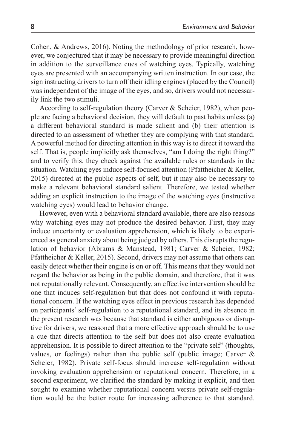Cohen, & Andrews, 2016). Noting the methodology of prior research, however, we conjectured that it may be necessary to provide meaningful direction in addition to the surveillance cues of watching eyes. Typically, watching eyes are presented with an accompanying written instruction. In our case, the sign instructing drivers to turn off their idling engines (placed by the Council) was independent of the image of the eyes, and so, drivers would not necessarily link the two stimuli.

According to self-regulation theory (Carver & Scheier, 1982), when people are facing a behavioral decision, they will default to past habits unless (a) a different behavioral standard is made salient and (b) their attention is directed to an assessment of whether they are complying with that standard. A powerful method for directing attention in this way is to direct it toward the self. That is, people implicitly ask themselves, "am I doing the right thing?" and to verify this, they check against the available rules or standards in the situation. Watching eyes induce self-focused attention (Pfattheicher & Keller, 2015) directed at the public aspects of self, but it may also be necessary to make a relevant behavioral standard salient. Therefore, we tested whether adding an explicit instruction to the image of the watching eyes (instructive watching eyes) would lead to behavior change.

However, even with a behavioral standard available, there are also reasons why watching eyes may not produce the desired behavior. First, they may induce uncertainty or evaluation apprehension, which is likely to be experienced as general anxiety about being judged by others. This disrupts the regulation of behavior (Abrams & Manstead, 1981; Carver & Scheier, 1982; Pfattheicher & Keller, 2015). Second, drivers may not assume that others can easily detect whether their engine is on or off. This means that they would not regard the behavior as being in the public domain, and therefore, that it was not reputationally relevant. Consequently, an effective intervention should be one that induces self-regulation but that does not confound it with reputational concern. If the watching eyes effect in previous research has depended on participants' self-regulation to a reputational standard, and its absence in the present research was because that standard is either ambiguous or disruptive for drivers, we reasoned that a more effective approach should be to use a cue that directs attention to the self but does not also create evaluation apprehension. It is possible to direct attention to the "private self" (thoughts, values, or feelings) rather than the public self (public image; Carver  $\&$ Scheier, 1982). Private self-focus should increase self-regulation without invoking evaluation apprehension or reputational concern. Therefore, in a second experiment, we clarified the standard by making it explicit, and then sought to examine whether reputational concern versus private self-regulation would be the better route for increasing adherence to that standard.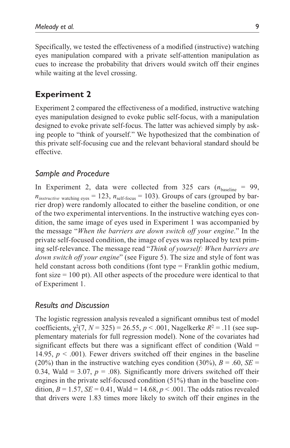Specifically, we tested the effectiveness of a modified (instructive) watching eyes manipulation compared with a private self-attention manipulation as cues to increase the probability that drivers would switch off their engines while waiting at the level crossing.

## **Experiment 2**

Experiment 2 compared the effectiveness of a modified, instructive watching eyes manipulation designed to evoke public self-focus, with a manipulation designed to evoke private self-focus. The latter was achieved simply by asking people to "think of yourself." We hypothesized that the combination of this private self-focusing cue and the relevant behavioral standard should be effective.

## *Sample and Procedure*

In Experiment 2, data were collected from 325 cars  $(n_{\text{baseline}} = 99)$ ,  $n_{instructive \text{ watching eyes}} = 123$ ,  $n_{self.focus} = 103$ ). Groups of cars (grouped by barrier drop) were randomly allocated to either the baseline condition, or one of the two experimental interventions. In the instructive watching eyes condition, the same image of eyes used in Experiment 1 was accompanied by the message "*When the barriers are down switch off your engine*." In the private self-focused condition, the image of eyes was replaced by text priming self-relevance. The message read "*Think of yourself: When barriers are down switch off your engine*" (see Figure 5). The size and style of font was held constant across both conditions (font type = Franklin gothic medium, font size  $= 100$  pt). All other aspects of the procedure were identical to that of Experiment 1.

### *Results and Discussion*

The logistic regression analysis revealed a significant omnibus test of model coefficients,  $\chi^2(7, N = 325) = 26.55$ ,  $p < .001$ , Nagelkerke  $R^2 = .11$  (see supplementary materials for full regression model). None of the covariates had significant effects but there was a significant effect of condition (Wald  $=$ 14.95,  $p < .001$ ). Fewer drivers switched off their engines in the baseline (20%) than in the instructive watching eyes condition (30%),  $B = .60$ ,  $SE =$ 0.34, Wald  $= 3.07$ ,  $p = .08$ ). Significantly more drivers switched off their engines in the private self-focused condition (51%) than in the baseline condition,  $B = 1.57$ ,  $SE = 0.41$ , Wald = 14.68,  $p < .001$ . The odds ratios revealed that drivers were 1.83 times more likely to switch off their engines in the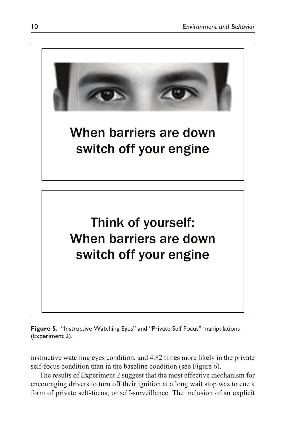

**Figure 5.** "Instructive Watching Eyes" and "Private Self Focus" manipulations (Experiment 2).

instructive watching eyes condition, and 4.82 times more likely in the private self-focus condition than in the baseline condition (see Figure 6).

The results of Experiment 2 suggest that the most effective mechanism for encouraging drivers to turn off their ignition at a long wait stop was to cue a form of private self-focus, or self-surveillance. The inclusion of an explicit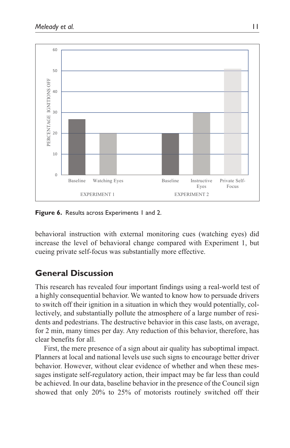

Figure 6. Results across Experiments 1 and 2.

behavioral instruction with external monitoring cues (watching eyes) did increase the level of behavioral change compared with Experiment 1, but cueing private self-focus was substantially more effective.

## **General Discussion**

This research has revealed four important findings using a real-world test of a highly consequential behavior. We wanted to know how to persuade drivers to switch off their ignition in a situation in which they would potentially, collectively, and substantially pollute the atmosphere of a large number of residents and pedestrians. The destructive behavior in this case lasts, on average, for 2 min, many times per day. Any reduction of this behavior, therefore, has clear benefits for all.

First, the mere presence of a sign about air quality has suboptimal impact. Planners at local and national levels use such signs to encourage better driver behavior. However, without clear evidence of whether and when these messages instigate self-regulatory action, their impact may be far less than could be achieved. In our data, baseline behavior in the presence of the Council sign showed that only 20% to 25% of motorists routinely switched off their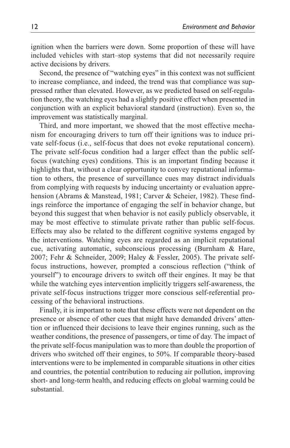ignition when the barriers were down. Some proportion of these will have included vehicles with start–stop systems that did not necessarily require active decisions by drivers.

Second, the presence of "watching eyes" in this context was not sufficient to increase compliance, and indeed, the trend was that compliance was suppressed rather than elevated. However, as we predicted based on self-regulation theory, the watching eyes had a slightly positive effect when presented in conjunction with an explicit behavioral standard (instruction). Even so, the improvement was statistically marginal.

Third, and more important, we showed that the most effective mechanism for encouraging drivers to turn off their ignitions was to induce private self-focus (i.e., self-focus that does not evoke reputational concern). The private self-focus condition had a larger effect than the public selffocus (watching eyes) conditions. This is an important finding because it highlights that, without a clear opportunity to convey reputational information to others, the presence of surveillance cues may distract individuals from complying with requests by inducing uncertainty or evaluation apprehension (Abrams & Manstead, 1981; Carver & Scheier, 1982). These findings reinforce the importance of engaging the self in behavior change, but beyond this suggest that when behavior is not easily publicly observable, it may be most effective to stimulate private rather than public self-focus. Effects may also be related to the different cognitive systems engaged by the interventions. Watching eyes are regarded as an implicit reputational cue, activating automatic, subconscious processing (Burnham & Hare, 2007; Fehr & Schneider, 2009; Haley & Fessler, 2005). The private selffocus instructions, however, prompted a conscious reflection ("think of yourself") to encourage drivers to switch off their engines. It may be that while the watching eyes intervention implicitly triggers self-awareness, the private self-focus instructions trigger more conscious self-referential processing of the behavioral instructions.

Finally, it is important to note that these effects were not dependent on the presence or absence of other cues that might have demanded drivers' attention or influenced their decisions to leave their engines running, such as the weather conditions, the presence of passengers, or time of day. The impact of the private self-focus manipulation was to more than double the proportion of drivers who switched off their engines, to 50%. If comparable theory-based interventions were to be implemented in comparable situations in other cities and countries, the potential contribution to reducing air pollution, improving short- and long-term health, and reducing effects on global warming could be substantial.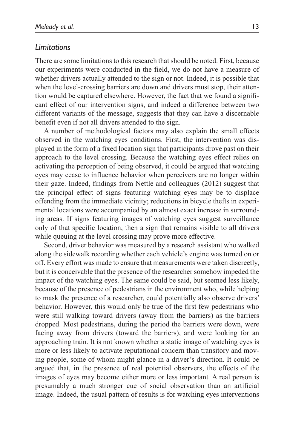### *Limitations*

There are some limitations to this research that should be noted. First, because our experiments were conducted in the field, we do not have a measure of whether drivers actually attended to the sign or not. Indeed, it is possible that when the level-crossing barriers are down and drivers must stop, their attention would be captured elsewhere. However, the fact that we found a significant effect of our intervention signs, and indeed a difference between two different variants of the message, suggests that they can have a discernable benefit even if not all drivers attended to the sign.

A number of methodological factors may also explain the small effects observed in the watching eyes conditions. First, the intervention was displayed in the form of a fixed location sign that participants drove past on their approach to the level crossing. Because the watching eyes effect relies on activating the perception of being observed, it could be argued that watching eyes may cease to influence behavior when perceivers are no longer within their gaze. Indeed, findings from Nettle and colleagues (2012) suggest that the principal effect of signs featuring watching eyes may be to displace offending from the immediate vicinity; reductions in bicycle thefts in experimental locations were accompanied by an almost exact increase in surrounding areas. If signs featuring images of watching eyes suggest surveillance only of that specific location, then a sign that remains visible to all drivers while queuing at the level crossing may prove more effective.

Second, driver behavior was measured by a research assistant who walked along the sidewalk recording whether each vehicle's engine was turned on or off. Every effort was made to ensure that measurements were taken discreetly, but it is conceivable that the presence of the researcher somehow impeded the impact of the watching eyes. The same could be said, but seemed less likely, because of the presence of pedestrians in the environment who, while helping to mask the presence of a researcher, could potentially also observe drivers' behavior. However, this would only be true of the first few pedestrians who were still walking toward drivers (away from the barriers) as the barriers dropped. Most pedestrians, during the period the barriers were down, were facing away from drivers (toward the barriers), and were looking for an approaching train. It is not known whether a static image of watching eyes is more or less likely to activate reputational concern than transitory and moving people, some of whom might glance in a driver's direction. It could be argued that, in the presence of real potential observers, the effects of the images of eyes may become either more or less important. A real person is presumably a much stronger cue of social observation than an artificial image. Indeed, the usual pattern of results is for watching eyes interventions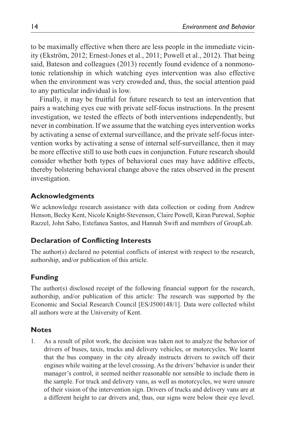to be maximally effective when there are less people in the immediate vicinity (Ekström, 2012; Ernest-Jones et al., 2011; Powell et al., 2012). That being said, Bateson and colleagues (2013) recently found evidence of a nonmonotonic relationship in which watching eyes intervention was also effective when the environment was very crowded and, thus, the social attention paid to any particular individual is low.

Finally, it may be fruitful for future research to test an intervention that pairs a watching eyes cue with private self-focus instructions. In the present investigation, we tested the effects of both interventions independently, but never in combination. If we assume that the watching eyes intervention works by activating a sense of external surveillance, and the private self-focus intervention works by activating a sense of internal self-surveillance, then it may be more effective still to use both cues in conjunction. Future research should consider whether both types of behavioral cues may have additive effects, thereby bolstering behavioral change above the rates observed in the present investigation.

### **Acknowledgments**

We acknowledge research assistance with data collection or coding from Andrew Henson, Becky Kent, Nicole Knight-Stevenson, Claire Powell, Kiran Purewal, Sophie Razzel, John Sabo, Estefanea Santos, and Hannah Swift and members of GroupLab.

### **Declaration of Conflicting Interests**

The author(s) declared no potential conflicts of interest with respect to the research, authorship, and/or publication of this article.

## **Funding**

The author(s) disclosed receipt of the following financial support for the research, authorship, and/or publication of this article: The research was supported by the Economic and Social Research Council [ES/J500148/1]. Data were collected whilst all authors were at the University of Kent.

### **Notes**

1. As a result of pilot work, the decision was taken not to analyze the behavior of drivers of buses, taxis, trucks and delivery vehicles, or motorcycles. We learnt that the bus company in the city already instructs drivers to switch off their engines while waiting at the level crossing. As the drivers' behavior is under their manager's control, it seemed neither reasonable nor sensible to include them in the sample. For truck and delivery vans, as well as motorcycles, we were unsure of their vision of the intervention sign. Drivers of trucks and delivery vans are at a different height to car drivers and, thus, our signs were below their eye level.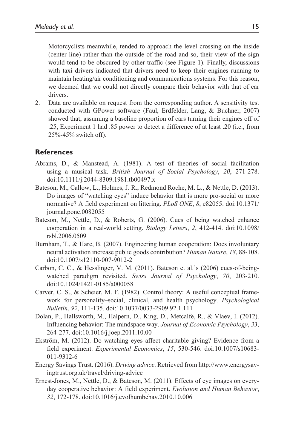Motorcyclists meanwhile, tended to approach the level crossing on the inside (center line) rather than the outside of the road and so, their view of the sign would tend to be obscured by other traffic (see Figure 1). Finally, discussions with taxi drivers indicated that drivers need to keep their engines running to maintain heating/air conditioning and communications systems. For this reason, we deemed that we could not directly compare their behavior with that of car drivers.

2. Data are available on request from the corresponding author. A sensitivity test conducted with GPower software (Faul, Erdfelder, Lang, & Buchner, 2007) showed that, assuming a baseline proportion of cars turning their engines off of .25, Experiment 1 had .85 power to detect a difference of at least .20 (i.e., from 25%-45% switch off).

#### **References**

- Abrams, D., & Manstead, A. (1981). A test of theories of social facilitation using a musical task. *British Journal of Social Psychology*, *20*, 271-278. doi:10.1111/j.2044-8309.1981.tb00497.x
- Bateson, M., Callow, L., Holmes, J. R., Redmond Roche, M. L., & Nettle, D. (2013). Do images of "watching eyes" induce behavior that is more pro-social or more normative? A field experiment on littering. *PLoS ONE*, *8*, e82055. doi:10.1371/ journal.pone.0082055
- Bateson, M., Nettle, D., & Roberts, G. (2006). Cues of being watched enhance cooperation in a real-world setting. *Biology Letters*, *2*, 412-414. doi:10.1098/ rsbl.2006.0509
- Burnham, T., & Hare, B. (2007). Engineering human cooperation: Does involuntary neural activation increase public goods contribution? *Human Nature*, *18*, 88-108. doi:10.1007/s12110-007-9012-2
- Carbon, C. C., & Hesslinger, V. M. (2011). Bateson et al.'s (2006) cues-of-beingwatched paradigm revisited. *Swiss Journal of Psychology*, *70*, 203-210. doi:10.1024/1421-0185/a000058
- Carver, C. S., & Scheier, M. F. (1982). Control theory: A useful conceptual framework for personality–social, clinical, and health psychology. *Psychological Bulletin*, *92*, 111-135. doi:10.1037/0033-2909.92.1.111
- Dolan, P., Hallsworth, M., Halpern, D., King, D., Metcalfe, R., & Vlaev, I. (2012). Influencing behavior: The mindspace way. *Journal of Economic Psychology*, *33*, 264-277. doi:10.1016/j.joep.2011.10.00
- Ekström, M. (2012). Do watching eyes affect charitable giving? Evidence from a field experiment. *Experimental Economics*, *15*, 530-546. doi:10.1007/s10683- 011-9312-6
- Energy Savings Trust. (2016). *Driving advice*. Retrieved from [http://www.energysav](http://www.energysavingtrust.org.uk/travel/driving-advice)[ingtrust.org.uk/travel/driving-advice](http://www.energysavingtrust.org.uk/travel/driving-advice)
- Ernest-Jones, M., Nettle, D., & Bateson, M. (2011). Effects of eye images on everyday cooperative behavior: A field experiment. *Evolution and Human Behavior*, *32*, 172-178. doi:10.1016/j.evolhumbehav.2010.10.006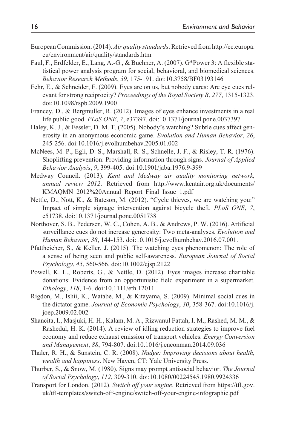- European Commission. (2014). *Air quality standards*. Retrieved from [http://ec.europa.](http://ec.europa.eu/environment/air/quality/standards.htm) [eu/environment/air/quality/standards.htm](http://ec.europa.eu/environment/air/quality/standards.htm)
- Faul, F., Erdfelder, E., Lang, A.-G., & Buchner, A. (2007). G\*Power 3: A flexible statistical power analysis program for social, behavioral, and biomedical sciences. *Behavior Research Methods*, *39*, 175-191. doi:10.3758/BF03193146
- Fehr, E., & Schneider, F. (2009). Eyes are on us, but nobody cares: Are eye cues relevant for strong reciprocity? *Proceedings of the Royal Society B*, *277*, 1315-1323. doi:10.1098/rspb.2009.1900
- Francey, D., & Bergmuller, R. (2012). Images of eyes enhance investments in a real life public good. *PLoS ONE*, *7*, e37397. doi:10.1371/journal.pone.0037397
- Haley, K. J., & Fessler, D. M. T. (2005). Nobody's watching? Subtle cues affect generosity in an anonymous economic game. *Evolution and Human Behavior*, *26*, 245-256. doi:10.1016/j.evolhumbehav.2005.01.002
- McNees, M. P., Egli, D. S., Marshall, R. S., Schnelle, J. F., & Risley, T. R. (1976). Shoplifting prevention: Providing information through signs. *Journal of Applied Behavior Analysis*, *9*, 399-405. doi:10.1901/jaba.1976.9-399
- Medway Council. (2013). *Kent and Medway air quality monitoring network, annual review 2012*. Retrieved from [http://www.kentair.org.uk/documents/](http://www.kentair.org.uk/documents/KMAQMN_2012%20Annual_Report_Final_Issue_1.pdf) [KMAQMN\\_2012%20Annual\\_Report\\_Final\\_Issue\\_1.pdf](http://www.kentair.org.uk/documents/KMAQMN_2012%20Annual_Report_Final_Issue_1.pdf)
- Nettle, D., Nott, K., & Bateson, M. (2012). "Cycle thieves, we are watching you:" Impact of simple signage intervention against bicycle theft. *PLoS ONE*, *7*, e51738. doi:10.1371/journal.pone.0051738
- Northover, S. B., Pedersen, W. C., Cohen, A. B., & Andrews, P. W. (2016). Artificial surveillance cues do not increase generosity: Two meta-analyses. *Evolution and Human Behavior*, *38*, 144-153. doi:10.1016/j.evolhumbehav.2016.07.001.
- Pfattheicher, S., & Keller, J. (2015). The watching eyes phenomenon: The role of a sense of being seen and public self-awareness. *European Journal of Social Psychology*, *45*, 560-566. doi:10.1002/ejsp.2122
- Powell, K. L., Roberts, G., & Nettle, D. (2012). Eyes images increase charitable donations: Evidence from an opportunistic field experiment in a supermarket. *Ethology*, *118*, 1-6. doi:10.1111/eth.12011
- Rigdon, M., Ishii, K., Watabe, M., & Kitayama, S. (2009). Minimal social cues in the dictator game. *Journal of Economic Psychology*, *30*, 358-367. doi:10.1016/j. joep.2009.02.002
- Shancita, I., Masjuki, H. H., Kalam, M. A., Rizwanul Fattah, I. M., Rashed, M. M., & Rashedul, H. K. (2014). A review of idling reduction strategies to improve fuel economy and reduce exhaust emission of transport vehicles. *Energy Conversion and Management*, *88*, 794-807. doi:10.1016/j.enconman.2014.09.036
- Thaler, R. H., & Sunstein, C. R. (2008). *Nudge: Improving decisions about health, wealth and happiness*. New Haven, CT: Yale University Press.
- Thurber, S., & Snow, M. (1980). Signs may prompt antisocial behavior. *The Journal of Social Psychology*, *112*, 309-310. doi:10.1080/00224545.1980.9924336
- Transport for London. (2012). *Switch off your engine*. Retrieved from [https://tfl.gov.](https://tfl.gov.uk/tfl-templates/switch-off-engine/switch-off-your-engine-infographic.pdf) [uk/tfl-templates/switch-off-engine/switch-off-your-engine-infographic.pdf](https://tfl.gov.uk/tfl-templates/switch-off-engine/switch-off-your-engine-infographic.pdf)